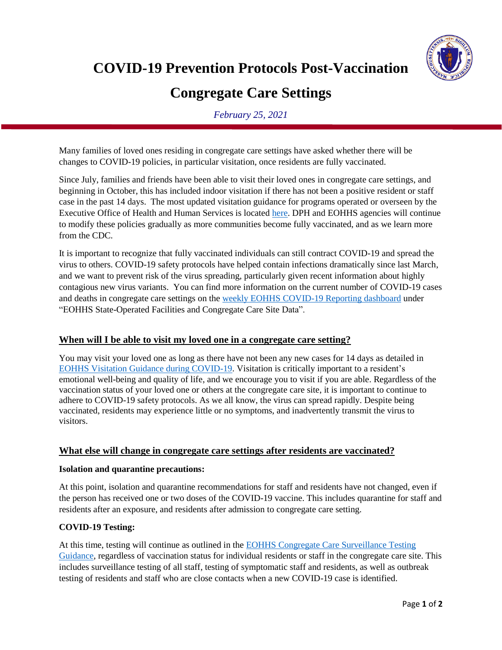**COVID-19 Prevention Protocols Post-Vaccination** 



# **Congregate Care Settings**

*February 25, 2021*

Many families of loved ones residing in congregate care settings have asked whether there will be changes to COVID-19 policies, in particular visitation, once residents are fully vaccinated.

Since July, families and friends have been able to visit their loved ones in congregate care settings, and beginning in October, this has included indoor visitation if there has not been a positive resident or staff case in the past 14 days. The most updated visitation guidance for programs operated or overseen by the Executive Office of Health and Human Services is located [here.](https://www.mass.gov/info-details/executive-office-of-health-and-human-services-visitation-guidance-during-covid-19) DPH and EOHHS agencies will continue to modify these policies gradually as more communities become fully vaccinated, and as we learn more from the CDC.

It is important to recognize that fully vaccinated individuals can still contract COVID-19 and spread the virus to others. COVID-19 safety protocols have helped contain infections dramatically since last March, and we want to prevent risk of the virus spreading, particularly given recent information about highly contagious new virus variants. You can find more information on the current number of COVID-19 cases and deaths in congregate care settings on the weekly [EOHHS COVID-19 Reporting dashboard](https://www.mass.gov/info-details/eohhs-covid-19-reporting) under "EOHHS State-Operated Facilities and Congregate Care Site Data".

# **When will I be able to visit my loved one in a congregate care setting?**

You may visit your loved one as long as there have not been any new cases for 14 days as detailed in [EOHHS Visitation Guidance during COVID-19](https://www.mass.gov/info-details/executive-office-of-health-and-human-services-visitation-guidance-during-covid-19). Visitation is critically important to a resident's emotional well-being and quality of life, and we encourage you to visit if you are able. Regardless of the vaccination status of your loved one or others at the congregate care site, it is important to continue to adhere to COVID-19 safety protocols. As we all know, the virus can spread rapidly. Despite being vaccinated, residents may experience little or no symptoms, and inadvertently transmit the virus to visitors.

# **What else will change in congregate care settings after residents are vaccinated?**

#### **Isolation and quarantine precautions:**

At this point, isolation and quarantine recommendations for staff and residents have not changed, even if the person has received one or two doses of the COVID-19 vaccine. This includes quarantine for staff and residents after an exposure, and residents after admission to congregate care setting.

# **COVID-19 Testing:**

At this time, testing will continue as outlined in the [EOHHS Congregate Care Surveillance Testing](https://www.mass.gov/doc/eohhs-congregate-care-surveillance-testing-guidance/download)  [Guidance,](https://www.mass.gov/doc/eohhs-congregate-care-surveillance-testing-guidance/download) regardless of vaccination status for individual residents or staff in the congregate care site. This includes surveillance testing of all staff, testing of symptomatic staff and residents, as well as outbreak testing of residents and staff who are close contacts when a new COVID-19 case is identified.